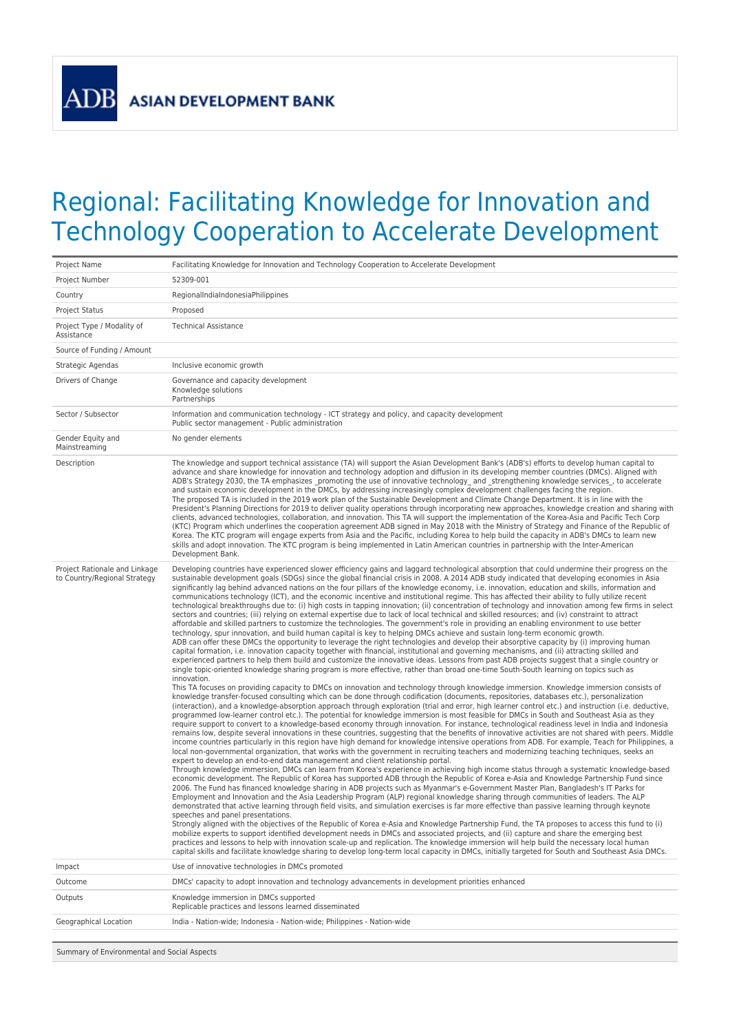## Regional: Facilitating Knowledge for Innovation and Technology Cooperation to Accelerate Development

| Project Name                                                  | Facilitating Knowledge for Innovation and Technology Cooperation to Accelerate Development                                                                                                                                                                                                                                                                                                                                                                                                                                                                                                                                                                                                                                                                                                                                                                                                                                                                                                                                                                                                                                                                                                                                                                                                                                                                                                                                                                                                                                                                                                                                                                                                                                                                                                                                                                                                                                                                                                                                                                                                                                                                                                                                                                                                                                                                                                                                                                                                                                                                                                                                                                                                                                                                                                                                                                                                                                                                                                                                                                                                                                                                                                                                                                                                                                                                                                                                                                                                                                                                                                                                                                                                                                                                                                                                                                                                                                                                                                                                                                                                                                                                                                                                                                                                                                                                                                                                             |  |  |
|---------------------------------------------------------------|----------------------------------------------------------------------------------------------------------------------------------------------------------------------------------------------------------------------------------------------------------------------------------------------------------------------------------------------------------------------------------------------------------------------------------------------------------------------------------------------------------------------------------------------------------------------------------------------------------------------------------------------------------------------------------------------------------------------------------------------------------------------------------------------------------------------------------------------------------------------------------------------------------------------------------------------------------------------------------------------------------------------------------------------------------------------------------------------------------------------------------------------------------------------------------------------------------------------------------------------------------------------------------------------------------------------------------------------------------------------------------------------------------------------------------------------------------------------------------------------------------------------------------------------------------------------------------------------------------------------------------------------------------------------------------------------------------------------------------------------------------------------------------------------------------------------------------------------------------------------------------------------------------------------------------------------------------------------------------------------------------------------------------------------------------------------------------------------------------------------------------------------------------------------------------------------------------------------------------------------------------------------------------------------------------------------------------------------------------------------------------------------------------------------------------------------------------------------------------------------------------------------------------------------------------------------------------------------------------------------------------------------------------------------------------------------------------------------------------------------------------------------------------------------------------------------------------------------------------------------------------------------------------------------------------------------------------------------------------------------------------------------------------------------------------------------------------------------------------------------------------------------------------------------------------------------------------------------------------------------------------------------------------------------------------------------------------------------------------------------------------------------------------------------------------------------------------------------------------------------------------------------------------------------------------------------------------------------------------------------------------------------------------------------------------------------------------------------------------------------------------------------------------------------------------------------------------------------------------------------------------------------------------------------------------------------------------------------------------------------------------------------------------------------------------------------------------------------------------------------------------------------------------------------------------------------------------------------------------------------------------------------------------------------------------------------------------------------------------------------------------------------------------------------------------------|--|--|
| Project Number                                                | 52309-001                                                                                                                                                                                                                                                                                                                                                                                                                                                                                                                                                                                                                                                                                                                                                                                                                                                                                                                                                                                                                                                                                                                                                                                                                                                                                                                                                                                                                                                                                                                                                                                                                                                                                                                                                                                                                                                                                                                                                                                                                                                                                                                                                                                                                                                                                                                                                                                                                                                                                                                                                                                                                                                                                                                                                                                                                                                                                                                                                                                                                                                                                                                                                                                                                                                                                                                                                                                                                                                                                                                                                                                                                                                                                                                                                                                                                                                                                                                                                                                                                                                                                                                                                                                                                                                                                                                                                                                                                              |  |  |
| Country                                                       | RegionalIndiaIndonesiaPhilippines                                                                                                                                                                                                                                                                                                                                                                                                                                                                                                                                                                                                                                                                                                                                                                                                                                                                                                                                                                                                                                                                                                                                                                                                                                                                                                                                                                                                                                                                                                                                                                                                                                                                                                                                                                                                                                                                                                                                                                                                                                                                                                                                                                                                                                                                                                                                                                                                                                                                                                                                                                                                                                                                                                                                                                                                                                                                                                                                                                                                                                                                                                                                                                                                                                                                                                                                                                                                                                                                                                                                                                                                                                                                                                                                                                                                                                                                                                                                                                                                                                                                                                                                                                                                                                                                                                                                                                                                      |  |  |
| <b>Project Status</b>                                         | Proposed                                                                                                                                                                                                                                                                                                                                                                                                                                                                                                                                                                                                                                                                                                                                                                                                                                                                                                                                                                                                                                                                                                                                                                                                                                                                                                                                                                                                                                                                                                                                                                                                                                                                                                                                                                                                                                                                                                                                                                                                                                                                                                                                                                                                                                                                                                                                                                                                                                                                                                                                                                                                                                                                                                                                                                                                                                                                                                                                                                                                                                                                                                                                                                                                                                                                                                                                                                                                                                                                                                                                                                                                                                                                                                                                                                                                                                                                                                                                                                                                                                                                                                                                                                                                                                                                                                                                                                                                                               |  |  |
| Project Type / Modality of<br>Assistance                      | <b>Technical Assistance</b>                                                                                                                                                                                                                                                                                                                                                                                                                                                                                                                                                                                                                                                                                                                                                                                                                                                                                                                                                                                                                                                                                                                                                                                                                                                                                                                                                                                                                                                                                                                                                                                                                                                                                                                                                                                                                                                                                                                                                                                                                                                                                                                                                                                                                                                                                                                                                                                                                                                                                                                                                                                                                                                                                                                                                                                                                                                                                                                                                                                                                                                                                                                                                                                                                                                                                                                                                                                                                                                                                                                                                                                                                                                                                                                                                                                                                                                                                                                                                                                                                                                                                                                                                                                                                                                                                                                                                                                                            |  |  |
| Source of Funding / Amount                                    |                                                                                                                                                                                                                                                                                                                                                                                                                                                                                                                                                                                                                                                                                                                                                                                                                                                                                                                                                                                                                                                                                                                                                                                                                                                                                                                                                                                                                                                                                                                                                                                                                                                                                                                                                                                                                                                                                                                                                                                                                                                                                                                                                                                                                                                                                                                                                                                                                                                                                                                                                                                                                                                                                                                                                                                                                                                                                                                                                                                                                                                                                                                                                                                                                                                                                                                                                                                                                                                                                                                                                                                                                                                                                                                                                                                                                                                                                                                                                                                                                                                                                                                                                                                                                                                                                                                                                                                                                                        |  |  |
| Strategic Agendas                                             | Inclusive economic growth                                                                                                                                                                                                                                                                                                                                                                                                                                                                                                                                                                                                                                                                                                                                                                                                                                                                                                                                                                                                                                                                                                                                                                                                                                                                                                                                                                                                                                                                                                                                                                                                                                                                                                                                                                                                                                                                                                                                                                                                                                                                                                                                                                                                                                                                                                                                                                                                                                                                                                                                                                                                                                                                                                                                                                                                                                                                                                                                                                                                                                                                                                                                                                                                                                                                                                                                                                                                                                                                                                                                                                                                                                                                                                                                                                                                                                                                                                                                                                                                                                                                                                                                                                                                                                                                                                                                                                                                              |  |  |
| Drivers of Change                                             | Governance and capacity development<br>Knowledge solutions<br>Partnerships                                                                                                                                                                                                                                                                                                                                                                                                                                                                                                                                                                                                                                                                                                                                                                                                                                                                                                                                                                                                                                                                                                                                                                                                                                                                                                                                                                                                                                                                                                                                                                                                                                                                                                                                                                                                                                                                                                                                                                                                                                                                                                                                                                                                                                                                                                                                                                                                                                                                                                                                                                                                                                                                                                                                                                                                                                                                                                                                                                                                                                                                                                                                                                                                                                                                                                                                                                                                                                                                                                                                                                                                                                                                                                                                                                                                                                                                                                                                                                                                                                                                                                                                                                                                                                                                                                                                                             |  |  |
| Sector / Subsector                                            | Information and communication technology - ICT strategy and policy, and capacity development<br>Public sector management - Public administration                                                                                                                                                                                                                                                                                                                                                                                                                                                                                                                                                                                                                                                                                                                                                                                                                                                                                                                                                                                                                                                                                                                                                                                                                                                                                                                                                                                                                                                                                                                                                                                                                                                                                                                                                                                                                                                                                                                                                                                                                                                                                                                                                                                                                                                                                                                                                                                                                                                                                                                                                                                                                                                                                                                                                                                                                                                                                                                                                                                                                                                                                                                                                                                                                                                                                                                                                                                                                                                                                                                                                                                                                                                                                                                                                                                                                                                                                                                                                                                                                                                                                                                                                                                                                                                                                       |  |  |
| Gender Equity and<br>Mainstreaming                            | No gender elements                                                                                                                                                                                                                                                                                                                                                                                                                                                                                                                                                                                                                                                                                                                                                                                                                                                                                                                                                                                                                                                                                                                                                                                                                                                                                                                                                                                                                                                                                                                                                                                                                                                                                                                                                                                                                                                                                                                                                                                                                                                                                                                                                                                                                                                                                                                                                                                                                                                                                                                                                                                                                                                                                                                                                                                                                                                                                                                                                                                                                                                                                                                                                                                                                                                                                                                                                                                                                                                                                                                                                                                                                                                                                                                                                                                                                                                                                                                                                                                                                                                                                                                                                                                                                                                                                                                                                                                                                     |  |  |
| Description                                                   | The knowledge and support technical assistance (TA) will support the Asian Development Bank's (ADB's) efforts to develop human capital to<br>advance and share knowledge for innovation and technology adoption and diffusion in its developing member countries (DMCs). Aligned with<br>ADB's Strategy 2030, the TA emphasizes promoting the use of innovative technology and strengthening knowledge services, to accelerate<br>and sustain economic development in the DMCs, by addressing increasingly complex development challenges facing the region.<br>The proposed TA is included in the 2019 work plan of the Sustainable Development and Climate Change Department. It is in line with the<br>President's Planning Directions for 2019 to deliver quality operations through incorporating new approaches, knowledge creation and sharing with<br>clients, advanced technologies, collaboration, and innovation. This TA will support the implementation of the Korea-Asia and Pacific Tech Corp<br>(KTC) Program which underlines the cooperation agreement ADB signed in May 2018 with the Ministry of Strategy and Finance of the Republic of<br>Korea. The KTC program will engage experts from Asia and the Pacific, including Korea to help build the capacity in ADB's DMCs to learn new<br>skills and adopt innovation. The KTC program is being implemented in Latin American countries in partnership with the Inter-American<br>Development Bank.                                                                                                                                                                                                                                                                                                                                                                                                                                                                                                                                                                                                                                                                                                                                                                                                                                                                                                                                                                                                                                                                                                                                                                                                                                                                                                                                                                                                                                                                                                                                                                                                                                                                                                                                                                                                                                                                                                                                                                                                                                                                                                                                                                                                                                                                                                                                                                                                                                                                                                                                                                                                                                                                                                                                                                                                                                                                                                                                                               |  |  |
| Project Rationale and Linkage<br>to Country/Regional Strategy | Developing countries have experienced slower efficiency gains and laggard technological absorption that could undermine their progress on the<br>sustainable development goals (SDGs) since the global financial crisis in 2008. A 2014 ADB study indicated that developing economies in Asia<br>significantly lag behind advanced nations on the four pillars of the knowledge economy, i.e. innovation, education and skills, information and<br>communications technology (ICT), and the economic incentive and institutional regime. This has affected their ability to fully utilize recent<br>technological breakthroughs due to: (i) high costs in tapping innovation; (ii) concentration of technology and innovation among few firms in select<br>sectors and countries; (iii) relying on external expertise due to lack of local technical and skilled resources; and (iv) constraint to attract<br>affordable and skilled partners to customize the technologies. The government's role in providing an enabling environment to use better<br>technology, spur innovation, and build human capital is key to helping DMCs achieve and sustain long-term economic growth.<br>ADB can offer these DMCs the opportunity to leverage the right technologies and develop their absorptive capacity by (i) improving human<br>capital formation, i.e. innovation capacity together with financial, institutional and governing mechanisms, and (ii) attracting skilled and<br>experienced partners to help them build and customize the innovative ideas. Lessons from past ADB projects suggest that a single country or<br>single topic-oriented knowledge sharing program is more effective, rather than broad one-time South-South learning on topics such as<br>innovation.<br>This TA focuses on providing capacity to DMCs on innovation and technology through knowledge immersion. Knowledge immersion consists of<br>knowledge transfer-focused consulting which can be done through codification (documents, repositories, databases etc.), personalization<br>(interaction), and a knowledge-absorption approach through exploration (trial and error, high learner control etc.) and instruction (i.e. deductive,<br>programmed low-learner control etc.). The potential for knowledge immersion is most feasible for DMCs in South and Southeast Asia as they<br>require support to convert to a knowledge-based economy through innovation. For instance, technological readiness level in India and Indonesia<br>remains low, despite several innovations in these countries, suggesting that the benefits of innovative activities are not shared with peers. Middle<br>income countries particularly in this region have high demand for knowledge intensive operations from ADB. For example, Teach for Philippines, a<br>local non-governmental organization, that works with the government in recruiting teachers and modernizing teaching techniques, seeks an<br>expert to develop an end-to-end data management and client relationship portal.<br>Through knowledge immersion, DMCs can learn from Korea's experience in achieving high income status through a systematic knowledge-based<br>economic development. The Republic of Korea has supported ADB through the Republic of Korea e-Asia and Knowledge Partnership Fund since<br>2006. The Fund has financed knowledge sharing in ADB projects such as Myanmar's e-Government Master Plan, Bangladesh's IT Parks for<br>Employment and Innovation and the Asia Leadership Program (ALP) regional knowledge sharing through communities of leaders. The ALP<br>demonstrated that active learning through field visits, and simulation exercises is far more effective than passive learning through keynote<br>speeches and panel presentations.<br>Strongly aligned with the objectives of the Republic of Korea e-Asia and Knowledge Partnership Fund, the TA proposes to access this fund to (i)<br>mobilize experts to support identified development needs in DMCs and associated projects, and (ii) capture and share the emerging best<br>practices and lessons to help with innovation scale-up and replication. The knowledge immersion will help build the necessary local human<br>capital skills and facilitate knowledge sharing to develop long-term local capacity in DMCs, initially targeted for South and Southeast Asia DMCs. |  |  |
| Impact                                                        | Use of innovative technologies in DMCs promoted                                                                                                                                                                                                                                                                                                                                                                                                                                                                                                                                                                                                                                                                                                                                                                                                                                                                                                                                                                                                                                                                                                                                                                                                                                                                                                                                                                                                                                                                                                                                                                                                                                                                                                                                                                                                                                                                                                                                                                                                                                                                                                                                                                                                                                                                                                                                                                                                                                                                                                                                                                                                                                                                                                                                                                                                                                                                                                                                                                                                                                                                                                                                                                                                                                                                                                                                                                                                                                                                                                                                                                                                                                                                                                                                                                                                                                                                                                                                                                                                                                                                                                                                                                                                                                                                                                                                                                                        |  |  |
| Outcome                                                       | DMCs' capacity to adopt innovation and technology advancements in development priorities enhanced                                                                                                                                                                                                                                                                                                                                                                                                                                                                                                                                                                                                                                                                                                                                                                                                                                                                                                                                                                                                                                                                                                                                                                                                                                                                                                                                                                                                                                                                                                                                                                                                                                                                                                                                                                                                                                                                                                                                                                                                                                                                                                                                                                                                                                                                                                                                                                                                                                                                                                                                                                                                                                                                                                                                                                                                                                                                                                                                                                                                                                                                                                                                                                                                                                                                                                                                                                                                                                                                                                                                                                                                                                                                                                                                                                                                                                                                                                                                                                                                                                                                                                                                                                                                                                                                                                                                      |  |  |
| Outputs                                                       | Knowledge immersion in DMCs supported<br>Replicable practices and lessons learned disseminated                                                                                                                                                                                                                                                                                                                                                                                                                                                                                                                                                                                                                                                                                                                                                                                                                                                                                                                                                                                                                                                                                                                                                                                                                                                                                                                                                                                                                                                                                                                                                                                                                                                                                                                                                                                                                                                                                                                                                                                                                                                                                                                                                                                                                                                                                                                                                                                                                                                                                                                                                                                                                                                                                                                                                                                                                                                                                                                                                                                                                                                                                                                                                                                                                                                                                                                                                                                                                                                                                                                                                                                                                                                                                                                                                                                                                                                                                                                                                                                                                                                                                                                                                                                                                                                                                                                                         |  |  |
| Geographical Location                                         | India - Nation-wide; Indonesia - Nation-wide; Philippines - Nation-wide                                                                                                                                                                                                                                                                                                                                                                                                                                                                                                                                                                                                                                                                                                                                                                                                                                                                                                                                                                                                                                                                                                                                                                                                                                                                                                                                                                                                                                                                                                                                                                                                                                                                                                                                                                                                                                                                                                                                                                                                                                                                                                                                                                                                                                                                                                                                                                                                                                                                                                                                                                                                                                                                                                                                                                                                                                                                                                                                                                                                                                                                                                                                                                                                                                                                                                                                                                                                                                                                                                                                                                                                                                                                                                                                                                                                                                                                                                                                                                                                                                                                                                                                                                                                                                                                                                                                                                |  |  |
| Summary of Environmental and Social Aspects                   |                                                                                                                                                                                                                                                                                                                                                                                                                                                                                                                                                                                                                                                                                                                                                                                                                                                                                                                                                                                                                                                                                                                                                                                                                                                                                                                                                                                                                                                                                                                                                                                                                                                                                                                                                                                                                                                                                                                                                                                                                                                                                                                                                                                                                                                                                                                                                                                                                                                                                                                                                                                                                                                                                                                                                                                                                                                                                                                                                                                                                                                                                                                                                                                                                                                                                                                                                                                                                                                                                                                                                                                                                                                                                                                                                                                                                                                                                                                                                                                                                                                                                                                                                                                                                                                                                                                                                                                                                                        |  |  |